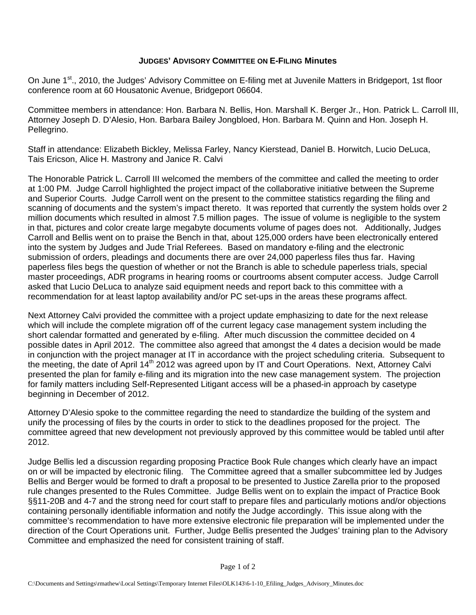## **JUDGES' ADVISORY COMMITTEE ON E-FILING Minutes**

On June 1<sup>st</sup>., 2010, the Judges' Advisory Committee on E-filing met at Juvenile Matters in Bridgeport, 1st floor conference room at 60 Housatonic Avenue, Bridgeport 06604.

Committee members in attendance: Hon. Barbara N. Bellis, Hon. Marshall K. Berger Jr., Hon. Patrick L. Carroll III, Attorney Joseph D. D'Alesio, Hon. Barbara Bailey Jongbloed, Hon. Barbara M. Quinn and Hon. Joseph H. Pellegrino.

Staff in attendance: Elizabeth Bickley, Melissa Farley, Nancy Kierstead, Daniel B. Horwitch, Lucio DeLuca, Tais Ericson, Alice H. Mastrony and Janice R. Calvi

The Honorable Patrick L. Carroll III welcomed the members of the committee and called the meeting to order at 1:00 PM. Judge Carroll highlighted the project impact of the collaborative initiative between the Supreme and Superior Courts. Judge Carroll went on the present to the committee statistics regarding the filing and scanning of documents and the system's impact thereto. It was reported that currently the system holds over 2 million documents which resulted in almost 7.5 million pages. The issue of volume is negligible to the system in that, pictures and color create large megabyte documents volume of pages does not. Additionally, Judges Carroll and Bellis went on to praise the Bench in that, about 125,000 orders have been electronically entered into the system by Judges and Jude Trial Referees. Based on mandatory e-filing and the electronic submission of orders, pleadings and documents there are over 24,000 paperless files thus far. Having paperless files begs the question of whether or not the Branch is able to schedule paperless trials, special master proceedings, ADR programs in hearing rooms or courtrooms absent computer access. Judge Carroll asked that Lucio DeLuca to analyze said equipment needs and report back to this committee with a recommendation for at least laptop availability and/or PC set-ups in the areas these programs affect.

Next Attorney Calvi provided the committee with a project update emphasizing to date for the next release which will include the complete migration off of the current legacy case management system including the short calendar formatted and generated by e-filing. After much discussion the committee decided on 4 possible dates in April 2012. The committee also agreed that amongst the 4 dates a decision would be made in conjunction with the project manager at IT in accordance with the project scheduling criteria. Subsequent to the meeting, the date of April 14<sup>th</sup> 2012 was agreed upon by IT and Court Operations. Next, Attorney Calvi presented the plan for family e-filing and its migration into the new case management system. The projection for family matters including Self-Represented Litigant access will be a phased-in approach by casetype beginning in December of 2012.

Attorney D'Alesio spoke to the committee regarding the need to standardize the building of the system and unify the processing of files by the courts in order to stick to the deadlines proposed for the project. The committee agreed that new development not previously approved by this committee would be tabled until after 2012.

Judge Bellis led a discussion regarding proposing Practice Book Rule changes which clearly have an impact on or will be impacted by electronic filing. The Committee agreed that a smaller subcommittee led by Judges Bellis and Berger would be formed to draft a proposal to be presented to Justice Zarella prior to the proposed rule changes presented to the Rules Committee. Judge Bellis went on to explain the impact of Practice Book §§11-20B and 4-7 and the strong need for court staff to prepare files and particularly motions and/or objections containing personally identifiable information and notify the Judge accordingly. This issue along with the committee's recommendation to have more extensive electronic file preparation will be implemented under the direction of the Court Operations unit. Further, Judge Bellis presented the Judges' training plan to the Advisory Committee and emphasized the need for consistent training of staff.